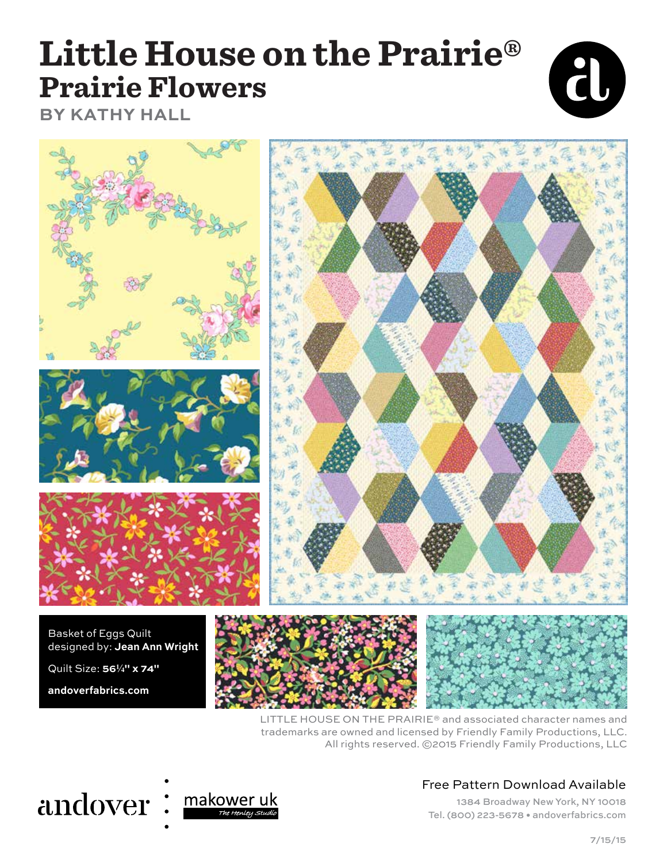## **Little House on the Prairie® Prairie Flowers**



**BY KATHY HALL**



LITTLE HOUSE ON THE PRAIRIE® and associated character names and trademarks are owned and licensed by Friendly Family Productions, LLC. All rights reserved. ©2015 Friendly Family Productions, LLC

# andover:



## Free Pattern Download Available

1384 Broadway New York, NY 10018 Tel. (800) 223-5678 • andoverfabrics.com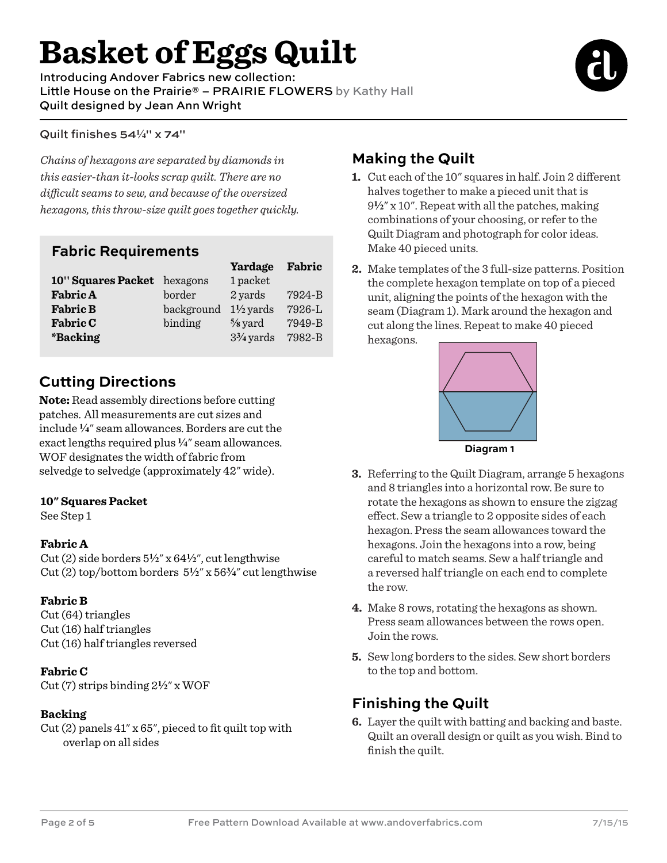# **Basket of Eggs Quilt**

Introducing Andover Fabrics new collection: Little House on the Prairie® - PRAIRIE FLOWERS by Kathy Hall Quilt designed by Jean Ann Wright



#### Quilt finishes 54<sup>1/4"</sup> x 74"

*Chains of hexagons are separated by diamonds in this easier-than it-looks scrap quilt. There are no dicult seams to sew, and because of the oversized hexagons, this throw-size quilt goes together quickly.*

### **Fabric Requirements**

|                             |            | Yardage              | Fabric     |
|-----------------------------|------------|----------------------|------------|
| 10" Squares Packet hexagons |            | 1 packet             |            |
| <b>Fabric A</b>             | border     | 2 yards              | 7924-B     |
| <b>Fabric B</b>             | background | $1\frac{1}{2}$ yards | 7926-L     |
| <b>Fabric C</b>             | binding    | $\frac{5}{8}$ yard   | $7949 - B$ |
| <i><b>*Backing</b></i>      |            | $3\frac{3}{4}$ yards | 7982-B     |

## **Cutting Directions**

**Note:** Read assembly directions before cutting patches. All measurements are cut sizes and include **4**" seam allowances. Borders are cut the exact lengths required plus  $\frac{1}{4}$ " seam allowances. WOF designates the width of fabric from selvedge to selvedge (approximately 42" wide).

#### **10" Squares Packet**

See Step 1

#### **Fabric A**

Cut (2) side borders 5**2**" x 64**2**", cut lengthwise Cut (2) top/bottom borders 5**2**" x 56**w**" cut lengthwise

#### **Fabric B**

Cut (64) triangles Cut (16) half triangles Cut (16) half triangles reversed

#### **Fabric C**

Cut (7) strips binding 2**2**" x WOF

#### **Backing**

Cut (2) panels 41" x 65", pieced to fit quilt top with overlap on all sides

## **Making the Quilt**

- **1.** Cut each of the 10" squares in half. Join 2 different halves together to make a pieced unit that is 9**2**" x 10". Repeat with all the patches, making combinations of your choosing, or refer to the Quilt Diagram and photograph for color ideas. Make 40 pieced units.
- **2.** Make templates of the 3 full-size patterns. Position the complete hexagon template on top of a pieced unit, aligning the points of the hexagon with the seam (Diagram 1). Mark around the hexagon and cut along the lines. Repeat to make 40 pieced hexagons.



- **3.** Referring to the Quilt Diagram, arrange 5 hexagons and 8 triangles into a horizontal row. Be sure to rotate the hexagons as shown to ensure the zigzag effect. Sew a triangle to 2 opposite sides of each hexagon. Press the seam allowances toward the hexagons. Join the hexagons into a row, being careful to match seams. Sew a half triangle and a reversed half triangle on each end to complete the row.
- **4.** Make 8 rows, rotating the hexagons as shown. Press seam allowances between the rows open. Join the rows.
- **5.** Sew long borders to the sides. Sew short borders to the top and bottom.

## **Finishing the Quilt**

**6.** Layer the quilt with batting and backing and baste. Quilt an overall design or quilt as you wish. Bind to finish the quilt.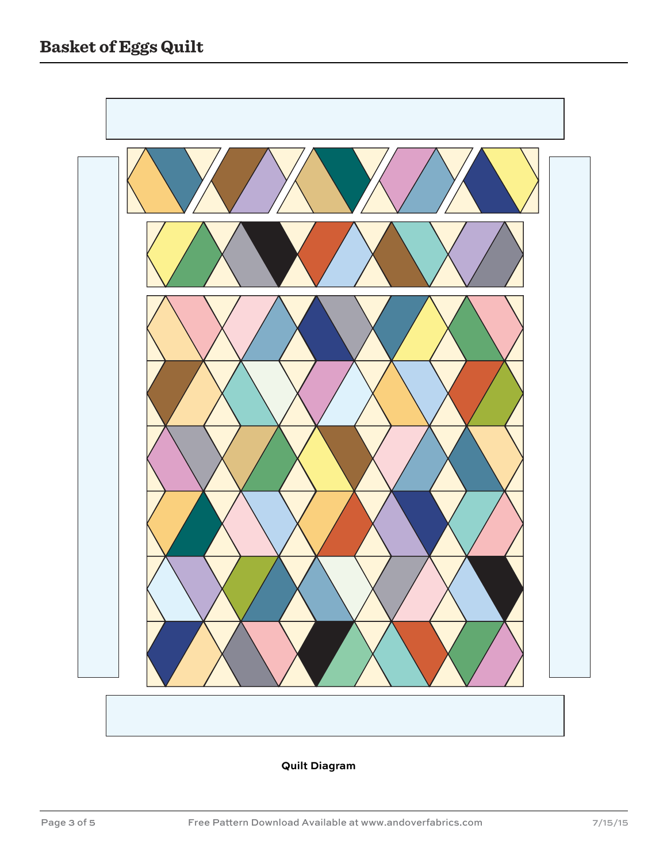

#### **Quilt Diagram**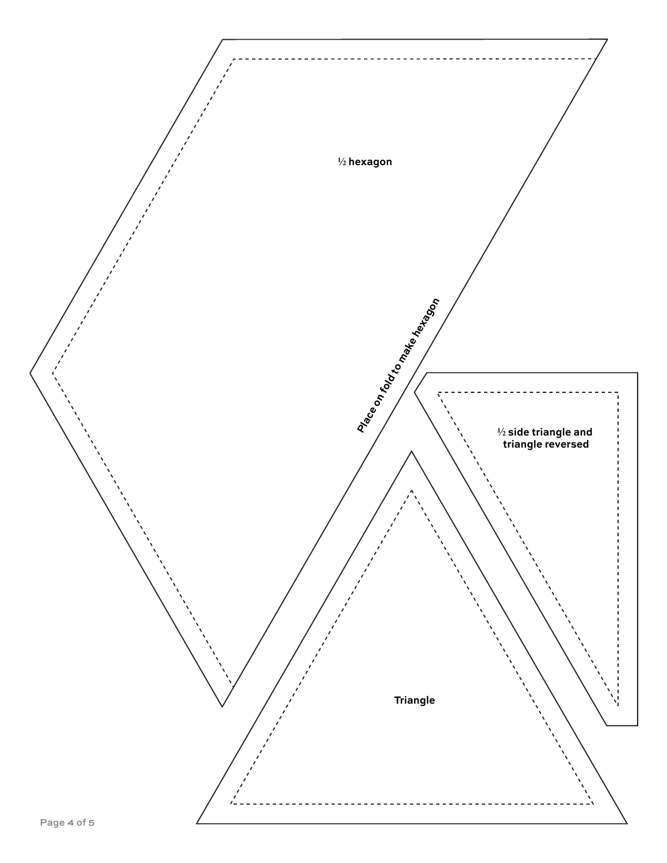